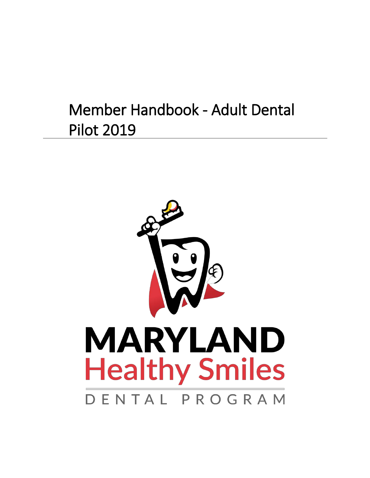## <span id="page-0-0"></span>Member Handbook - Adult Dental Pilot 2019

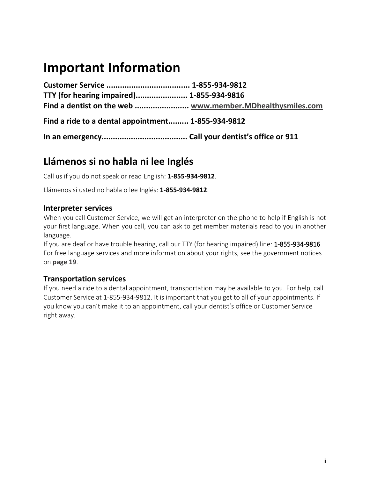## <span id="page-1-0"></span>**Important Information**

**Customer Service ..................................... 1-855-934-9812 TTY (for hearing impaired)....................... 1-855-934-9816 Find a dentist on the web ........................ [www.member.MDhealthysmiles.com](http://www.member.mdhealthysmiles.com/)**

**Find a ride to a dental appointment......... 1-855-934-9812**

**In an emergency...................................... Call your dentist's office or 911**

## <span id="page-1-1"></span>**Llámenos si no habla ni lee Inglés**

Call us if you do not speak or read English: **1-855-934-9812**.

Llámenos si usted no habla o lee Inglés: **1-855-934-9812**.

#### **Interpreter services**

When you call Customer Service, we will get an interpreter on the phone to help if English is not your first language. When you call, you can ask to get member materials read to you in another language.

If you are deaf or have trouble hearing, call our TTY (for hearing impaired) line: 1-855-934-9816. For free language services and more information about your rights, see the government notices on **page 19**.

#### **Transportation services**

If you need a ride to a dental appointment, transportation may be available to you. For help, call Customer Service at 1-855-934-9812. It is important that you get to all of your appointments. If you know you can't make it to an appointment, call your dentist's office or Customer Service right away.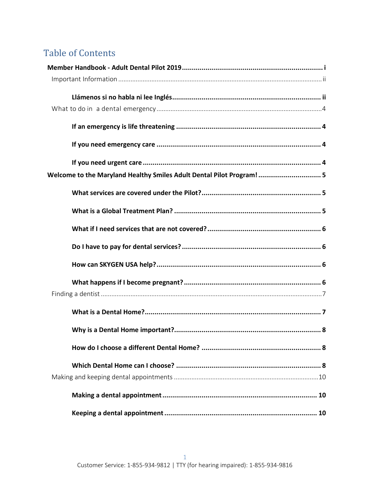## **Table of Contents**

| Welcome to the Maryland Healthy Smiles Adult Dental Pilot Program! 5 |
|----------------------------------------------------------------------|
|                                                                      |
|                                                                      |
|                                                                      |
|                                                                      |
|                                                                      |
|                                                                      |
|                                                                      |
|                                                                      |
|                                                                      |
|                                                                      |
|                                                                      |
|                                                                      |
|                                                                      |
|                                                                      |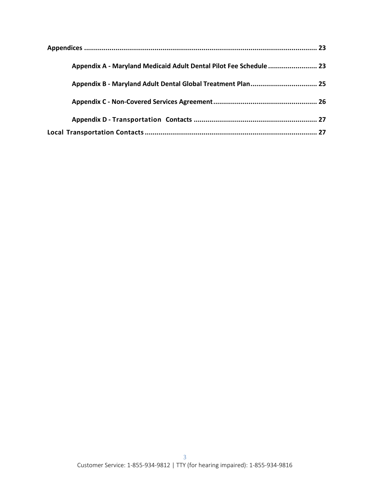| Appendix A - Maryland Medicaid Adult Dental Pilot Fee Schedule  23 |  |
|--------------------------------------------------------------------|--|
| Appendix B - Maryland Adult Dental Global Treatment Plan 25        |  |
|                                                                    |  |
|                                                                    |  |
|                                                                    |  |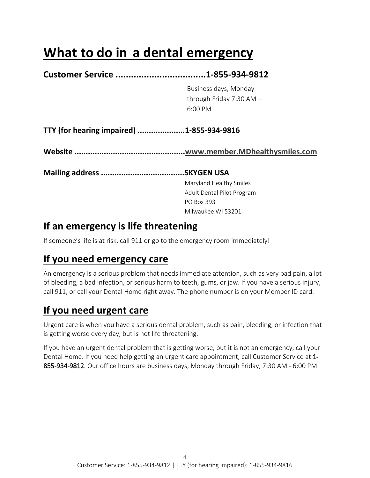## <span id="page-5-0"></span>**What to do in a dental emergency**

## **Customer Service ...................................1-855-934-9812** Business days, Monday through Friday 7:30 AM – 6:00 PM **TTY (for hearing impaired) .....................1-855-934-9816 Website ................................................[.www.member.MDhealthysmiles.com](http://www.member.mdhealthysmiles.com/) Mailing address .....................................SKYGEN USA**

Maryland Healthy Smiles Adult Dental Pilot Program PO Box 393 Milwaukee WI 53201

## <span id="page-5-1"></span>**If an emergency is life threatening**

If someone's life is at risk, call 911 or go to the emergency room immediately!

## <span id="page-5-2"></span>**If you need emergency care**

An emergency is a serious problem that needs immediate attention, such as very bad pain, a lot of bleeding, a bad infection, or serious harm to teeth, gums, or jaw. If you have a serious injury, call 911, or call your Dental Home right away. The phone number is on your Member ID card.

## <span id="page-5-3"></span>**If you need urgent care**

Urgent care is when you have a serious dental problem, such as pain, bleeding, or infection that is getting worse every day, but is not life threatening.

If you have an urgent dental problem that is getting worse, but it is not an emergency, call your Dental Home. If you need help getting an urgent care appointment, call Customer Service at 1- 855-934-9812. Our office hours are business days, Monday through Friday, 7:30 AM - 6:00 PM.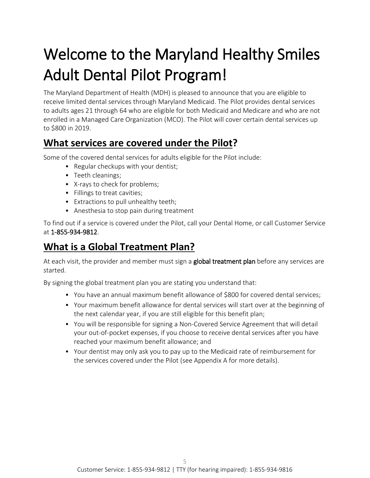# <span id="page-6-0"></span>Welcome to the Maryland Healthy Smiles Adult Dental Pilot Program!<br>The Maryland Department of Health (MDH) is pleased to announce that you are eligible to

receive limited dental services through Maryland Medicaid. The Pilot provides dental services to adults ages 21 through 64 who are eligible for both Medicaid and Medicare and who are not enrolled in a Managed Care Organization (MCO). The Pilot will cover certain dental services up to \$800 in 2019.

## <span id="page-6-1"></span>**What services are covered under the Pilot?**

Some of the covered dental services for adults eligible for the Pilot include:

- Regular checkups with your dentist;
- Teeth cleanings;
- X-rays to check for problems;
- Fillings to treat cavities;
- Extractions to pull unhealthy teeth;
- Anesthesia to stop pain during treatment

To find out if a service is covered under the Pilot, call your Dental Home, or call Customer Service at 1-855-934-9812.

## <span id="page-6-2"></span>**What is a Global Treatment Plan?**

At each visit, the provider and member must sign a global treatment plan before any services are started.

By signing the global treatment plan you are stating you understand that:

- You have an annual maximum benefit allowance of \$800 for covered dental services;
- Your maximum benefit allowance for dental services will start over at the beginning of the next calendar year, if you are still eligible for this benefit plan;
- You will be responsible for signing a Non-Covered Service Agreement that will detail your out-of-pocket expenses, if you choose to receive dental services after you have reached your maximum benefit allowance; and
- Your dentist may only ask you to pay up to the Medicaid rate of reimbursement for the services covered under the Pilot (see Appendix A for more details).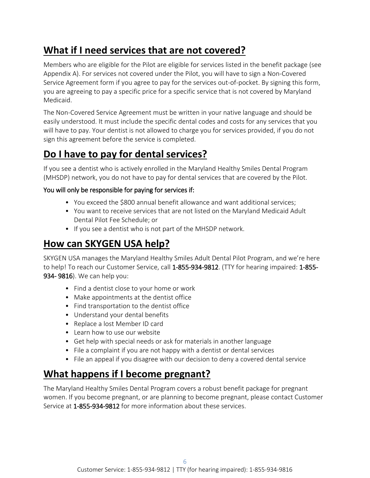## <span id="page-7-0"></span>**What if I need services that are not covered?**

Members who are eligible for the Pilot are eligible for services listed in the benefit package (see Appendix A). For services not covered under the Pilot, you will have to sign a Non-Covered Service Agreement form if you agree to pay for the services out-of-pocket. By signing this form, you are agreeing to pay a specific price for a specific service that is not covered by Maryland Medicaid.

The Non-Covered Service Agreement must be written in your native language and should be easily understood. It must include the specific dental codes and costs for any services that you will have to pay. Your dentist is not allowed to charge you for services provided, if you do not sign this agreement before the service is completed.

### <span id="page-7-1"></span>**Do I have to pay for dental services?**

If you see a dentist who is actively enrolled in the Maryland Healthy Smiles Dental Program (MHSDP) network, you do not have to pay for dental services that are covered by the Pilot.

#### You will only be responsible for paying for services if:

- You exceed the \$800 annual benefit allowance and want additional services;
- You want to receive services that are not listed on the Maryland Medicaid Adult Dental Pilot Fee Schedule; or
- If you see a dentist who is not part of the MHSDP network.

### <span id="page-7-2"></span>**How can SKYGEN USA help?**

SKYGEN USA manages the Maryland Healthy Smiles Adult Dental Pilot Program, and we're here to help! To reach our Customer Service, call 1-855-934-9812. (TTY for hearing impaired: 1-855- 934- 9816). We can help you:

- Find a dentist close to your home or work
- Make appointments at the dentist office
- Find transportation to the dentist office
- Understand your dental benefits
- Replace a lost Member ID card
- Learn how to use our website
- Get help with special needs or ask for materials in another language
- File a complaint if you are not happy with a dentist or dental services
- File an appeal if you disagree with our decision to deny a covered dental service

### <span id="page-7-3"></span>**What happens if I become pregnant?**

The Maryland Healthy Smiles Dental Program covers a robust benefit package for pregnant women. If you become pregnant, or are planning to become pregnant, please contact Customer Service at 1-855-934-9812 for more information about these services.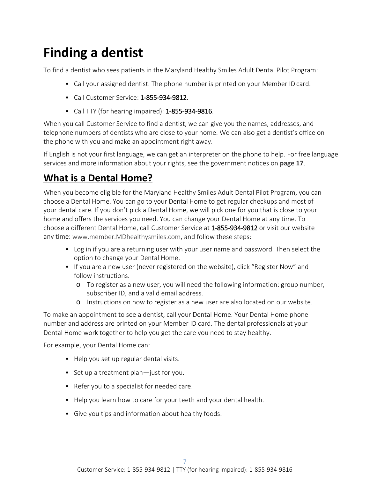## <span id="page-8-0"></span>**Finding a dentist**

To find a dentist who sees patients in the Maryland Healthy Smiles Adult Dental Pilot Program:

- Call your assigned dentist. The phone number is printed on your Member ID card.
- Call Customer Service: 1-855-934-9812.
- Call TTY (for hearing impaired): **1-855-934-9816**.

When you call Customer Service to find a dentist, we can give you the names, addresses, and telephone numbers of dentists who are close to your home. We can also get a dentist's office on the phone with you and make an appointment right away.

If English is not your first language, we can get an interpreter on the phone to help. For free language services and more information about your rights, see the government notices on **page 17**.

## <span id="page-8-1"></span>**What is a Dental Home?**

When you become eligible for the Maryland Healthy Smiles Adult Dental Pilot Program, you can choose a Dental Home. You can go to your Dental Home to get regular checkups and most of your dental care. If you don't pick a Dental Home, we will pick one for you that is close to your home and offers the services you need. You can change your Dental Home at any time. To choose a different Dental Home, call Customer Service at 1-855-934-9812 or visit our website any time: [www.member.MDhealthysmiles.com, a](http://www.member.mdhealthysmiles.com/)nd follow these steps:

- Log in if you are a returning user with your user name and password. Then select the option to change your Dental Home.
- If you are a new user (never registered on the website), click "Register Now" and follow instructions.
	- o To register as a new user, you will need the following information: group number, subscriber ID, and a valid email address.
	- o Instructions on how to register as a new user are also located on our website.

To make an appointment to see a dentist, call your Dental Home. Your Dental Home phone number and address are printed on your Member ID card. The dental professionals at your Dental Home work together to help you get the care you need to stay healthy.

For example, your Dental Home can:

- Help you set up regular dental visits.
- Set up a treatment plan—just for you.
- Refer you to a specialist for needed care.
- Help you learn how to care for your teeth and your dental health.
- Give you tips and information about healthy foods.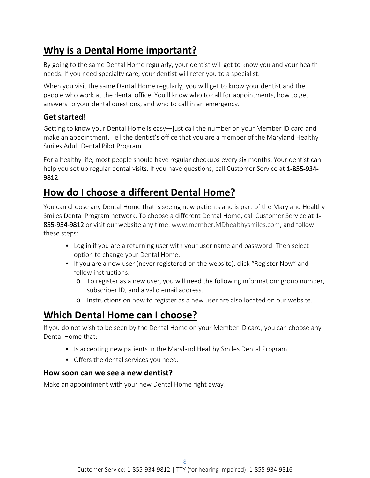## <span id="page-9-0"></span>**Why is a Dental Home important?**

By going to the same Dental Home regularly, your dentist will get to know you and your health needs. If you need specialty care, your dentist will refer you to a specialist.

When you visit the same Dental Home regularly, you will get to know your dentist and the people who work at the dental office. You'll know who to call for appointments, how to get answers to your dental questions, and who to call in an emergency.

#### **Get started!**

Getting to know your Dental Home is easy—just call the number on your Member ID card and make an appointment. Tell the dentist's office that you are a member of the Maryland Healthy Smiles Adult Dental Pilot Program.

For a healthy life, most people should have regular checkups every six months. Your dentist can help you set up regular dental visits. If you have questions, call Customer Service at 1-855-934-9812.

## <span id="page-9-1"></span>**How do I choose a different Dental Home?**

You can choose any Dental Home that is seeing new patients and is part of the Maryland Healthy Smiles Dental Program network. To choose a different Dental Home, call Customer Service at 1- 855-934-9812 or visit our website any time: [www.member.MDhealthysmiles.com, a](http://www.member.mdhealthysmiles.com/)nd follow these steps:

- Log in if you are a returning user with your user name and password. Then select option to change your Dental Home.
- If you are a new user (never registered on the website), click "Register Now" and follow instructions.
	- o To register as a new user, you will need the following information: group number, subscriber ID, and a valid email address.
	- o Instructions on how to register as a new user are also located on our website.

## <span id="page-9-2"></span>**Which Dental Home can I choose?**

If you do not wish to be seen by the Dental Home on your Member ID card, you can choose any Dental Home that:

- Is accepting new patients in the Maryland Healthy Smiles Dental Program.
- Offers the dental services you need.

#### **How soon can we see a new dentist?**

Make an appointment with your new Dental Home right away!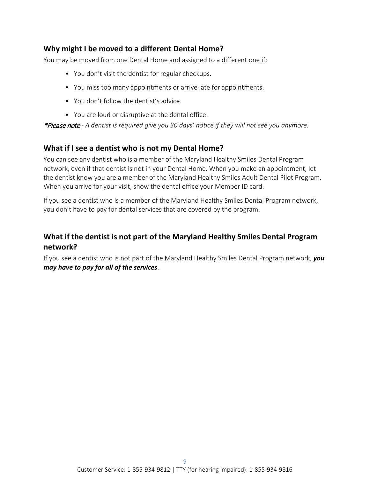#### **Why might I be moved to a different Dental Home?**

You may be moved from one Dental Home and assigned to a different one if:

- You don't visit the dentist for regular checkups.
- You miss too many appointments or arrive late for appointments.
- You don't follow the dentist's advice.
- You are loud or disruptive at the dental office.

\*Please note *- A dentist is required give you 30 days' notice if they will not see you anymore.*

#### **What if I see a dentist who is not my Dental Home?**

You can see any dentist who is a member of the Maryland Healthy Smiles Dental Program network, even if that dentist is not in your Dental Home. When you make an appointment, let the dentist know you are a member of the Maryland Healthy Smiles Adult Dental Pilot Program. When you arrive for your visit, show the dental office your Member ID card.

If you see a dentist who is a member of the Maryland Healthy Smiles Dental Program network, you don't have to pay for dental services that are covered by the program.

#### **What if the dentist is not part of the Maryland Healthy Smiles Dental Program network?**

If you see a dentist who is not part of the Maryland Healthy Smiles Dental Program network, *you may have to pay for all of the services*.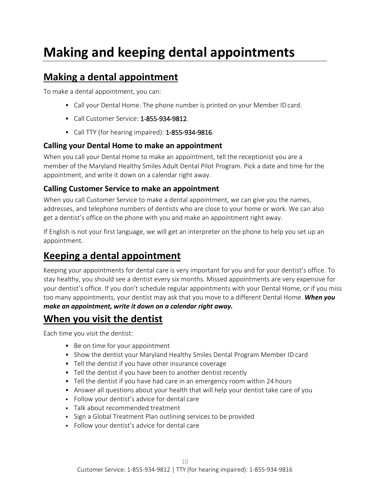## <span id="page-11-0"></span>**Making and keeping dental appointments**

### <span id="page-11-1"></span>**Making a dental appointment**

To make a dental appointment, you can:

- Call your Dental Home. The phone number is printed on your Member IDcard.
- Call Customer Service: 1-855-934-9812.
- Call TTY (for hearing impaired): 1-855-934-9816.

#### **Calling your Dental Home to make an appointment**

When you call your Dental Home to make an appointment, tell the receptionist you are a member of the Maryland Healthy Smiles Adult Dental Pilot Program. Pick a date and time for the appointment, and write it down on a calendar right away.

#### **Calling Customer Service to make an appointment**

When you call Customer Service to make a dental appointment, we can give you the names, addresses, and telephone numbers of dentists who are close to your home or work. We can also get a dentist's office on the phone with you and make an appointment right away.

If English is not your first language, we will get an interpreter on the phone to help you set up an appointment.

## <span id="page-11-2"></span>**Keeping a dental appointment**

Keeping your appointments for dental care is very important for you and for your dentist's office. To stay healthy, you should see a dentist every six months. Missed appointments are very expensive for your dentist's office. If you don't schedule regular appointments with your Dental Home, or if you miss too many appointments, your dentist may ask that you move to a different Dental Home. *When you make an appointment, write it down on a calendar right away.*

### <span id="page-11-3"></span>**When you visit the dentist**

Each time you visit the dentist:

- Be on time for your appointment
- Show the dentist your Maryland Healthy Smiles Dental Program Member ID card
- Tell the dentist if you have other insurance coverage
- Tell the dentist if you have been to another dentist recently
- Tell the dentist if you have had care in an emergency room within 24 hours
- Answer all questions about your health that will help your dentist take care of you
- Follow your dentist's advice for dental care
- Talk about recommended treatment
- Sign a Global Treatment Plan outlining services to be provided
- Follow your dentist's advice for dental care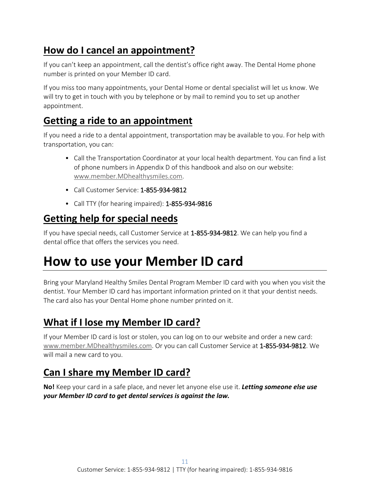## <span id="page-12-0"></span>**How do I cancel an appointment?**

If you can't keep an appointment, call the dentist's office right away. The Dental Home phone number is printed on your Member ID card.

If you miss too many appointments, your Dental Home or dental specialist will let us know. We will try to get in touch with you by telephone or by mail to remind you to set up another appointment.

### <span id="page-12-1"></span>**Getting a ride to an appointment**

If you need a ride to a dental appointment, transportation may be available to you. For help with transportation, you can:

- Call the Transportation Coordinator at your local health department. You can find a list of phone numbers in Appendix D of this handbook and also on our website: [www.member.MDhealthysmiles.com.](http://www.member.mdhealthysmiles.com/)
- Call Customer Service: 1-855-934-9812
- Call TTY (for hearing impaired): 1-855-934-9816

## <span id="page-12-2"></span>**Getting help for special needs**

If you have special needs, call Customer Service at 1-855-934-9812. We can help you find a dental office that offers the services you need.

## <span id="page-12-3"></span>**How to use your Member ID card**

Bring your Maryland Healthy Smiles Dental Program Member ID card with you when you visit the dentist. Your Member ID card has important information printed on it that your dentist needs. The card also has your Dental Home phone number printed on it.

## <span id="page-12-4"></span>**What if I lose my Member ID card?**

If your Member ID card is lost or stolen, you can log on to our website and order a new card: [www.member.MDhealthysmiles.com. O](http://www.member.mdhealthysmiles.com/)r you can call Customer Service at 1-855-934-9812. We will mail a new card to you.

## <span id="page-12-5"></span>**Can I share my Member ID card?**

**No!** Keep your card in a safe place, and never let anyone else use it. *Letting someone else use your Member ID card to get dental services is against the law.*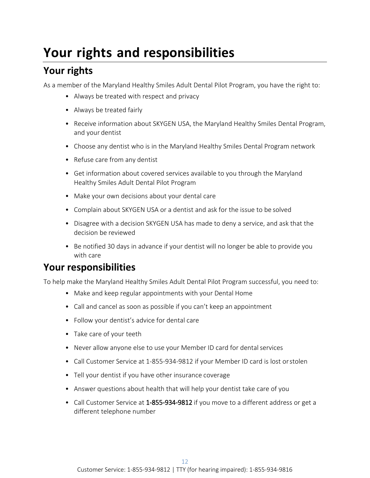## <span id="page-13-0"></span>**Your rights and responsibilities**

## <span id="page-13-1"></span>**Your rights**

As a member of the Maryland Healthy Smiles Adult Dental Pilot Program, you have the right to:

- Always be treated with respect and privacy
- Always be treated fairly
- Receive information about SKYGEN USA, the Maryland Healthy Smiles Dental Program, and your dentist
- Choose any dentist who is in the Maryland Healthy Smiles Dental Program network
- Refuse care from any dentist
- Get information about covered services available to you through the Maryland Healthy Smiles Adult Dental Pilot Program
- Make your own decisions about your dental care
- Complain about SKYGEN USA or a dentist and ask for the issue to be solved
- Disagree with a decision SKYGEN USA has made to deny a service, and ask that the decision be reviewed
- Be notified 30 days in advance if your dentist will no longer be able to provide you with care

## <span id="page-13-2"></span>**Your responsibilities**

To help make the Maryland Healthy Smiles Adult Dental Pilot Program successful, you need to:

- Make and keep regular appointments with your Dental Home
- Call and cancel as soon as possible if you can't keep an appointment
- Follow your dentist's advice for dental care
- Take care of your teeth
- Never allow anyone else to use your Member ID card for dental services
- Call Customer Service at 1-855-934-9812 if your Member ID card is lost orstolen
- Tell your dentist if you have other insurance coverage
- Answer questions about health that will help your dentist take care of you
- Call Customer Service at 1-855-934-9812 if you move to a different address or get a different telephone number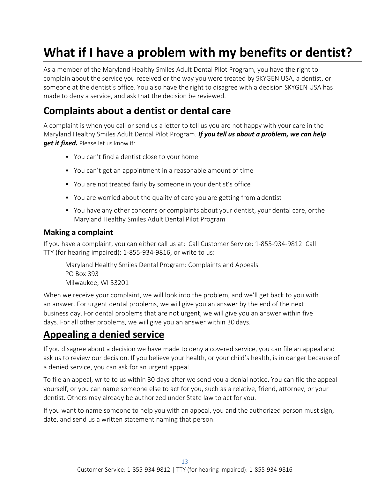## <span id="page-14-0"></span>**What if I have a problem with my benefits or dentist?**

As a member of the Maryland Healthy Smiles Adult Dental Pilot Program, you have the right to complain about the service you received or the way you were treated by SKYGEN USA, a dentist, or someone at the dentist's office. You also have the right to disagree with a decision SKYGEN USA has made to deny a service, and ask that the decision be reviewed.

### <span id="page-14-1"></span>**Complaints about a dentist or dental care**

A complaint is when you call or send us a letter to tell us you are not happy with your care in the Maryland Healthy Smiles Adult Dental Pilot Program. *If you tell us about a problem, we can help get it fixed.* Please let us know if:

- You can't find a dentist close to your home
- You can't get an appointment in a reasonable amount of time
- You are not treated fairly by someone in your dentist's office
- You are worried about the quality of care you are getting from a dentist
- You have any other concerns or complaints about your dentist, your dental care, orthe Maryland Healthy Smiles Adult Dental Pilot Program

#### **Making a complaint**

If you have a complaint, you can either call us at: Call Customer Service: 1-855-934-9812. Call TTY (for hearing impaired): 1-855-934-9816, or write to us:

Maryland Healthy Smiles Dental Program: Complaints and Appeals PO Box 393 Milwaukee, WI 53201

When we receive your complaint, we will look into the problem, and we'll get back to you with an answer. For urgent dental problems, we will give you an answer by the end of the next business day. For dental problems that are not urgent, we will give you an answer within five days. For all other problems, we will give you an answer within 30 days.

## <span id="page-14-2"></span>**Appealing a denied service**

If you disagree about a decision we have made to deny a covered service, you can file an appeal and ask us to review our decision. If you believe your health, or your child's health, is in danger because of a denied service, you can ask for an urgent appeal.

To file an appeal, write to us within 30 days after we send you a denial notice. You can file the appeal yourself, or you can name someone else to act for you, such as a relative, friend, attorney, or your dentist. Others may already be authorized under State law to act for you.

If you want to name someone to help you with an appeal, you and the authorized person must sign, date, and send us a written statement naming that person.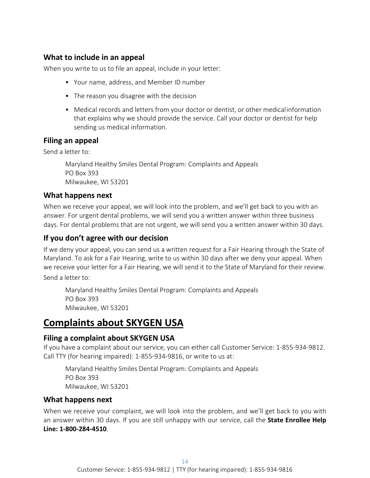#### **What to include in an appeal**

When you write to us to file an appeal, include in your letter:

- Your name, address, and Member ID number
- The reason you disagree with the decision
- Medical records and letters from your doctor or dentist, or other medicalinformation that explains why we should provide the service. Call your doctor or dentist for help sending us medical information.

#### **Filing an appeal**

Send a letter to:

Maryland Healthy Smiles Dental Program: Complaints and Appeals PO Box 393 Milwaukee, WI 53201

#### **What happens next**

When we receive your appeal, we will look into the problem, and we'll get back to you with an answer. For urgent dental problems, we will send you a written answer within three business days. For dental problems that are not urgent, we will send you a written answer within 30 days.

#### **If you don't agree with our decision**

If we deny your appeal, you can send us a written request for a Fair Hearing through the State of Maryland. To ask for a Fair Hearing, write to us within 30 days after we deny your appeal. When we receive your letter for a Fair Hearing, we will send it to the State of Maryland for their review.

Send a letter to:

Maryland Healthy Smiles Dental Program: Complaints and Appeals PO Box 393 Milwaukee, WI 53201

### <span id="page-15-0"></span>**Complaints about SKYGEN USA**

#### **Filing a complaint about SKYGEN USA**

If you have a complaint about our service, you can either call Customer Service: 1-855-934-9812. Call TTY (for hearing impaired): 1-855-934-9816, or write to us at:

Maryland Healthy Smiles Dental Program: Complaints and Appeals PO Box 393 Milwaukee, WI 53201

#### **What happens next**

When we receive your complaint, we will look into the problem, and we'll get back to you with an answer within 30 days. If you are still unhappy with our service, call the **State Enrollee Help Line: 1-800-284-4510**.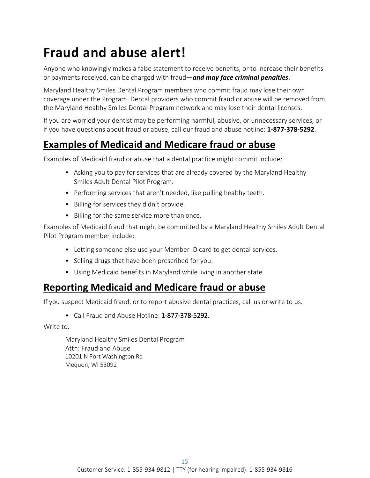## <span id="page-16-0"></span>**Fraud and abuse alert!**

Anyone who knowingly makes a false statement to receive benefits, or to increase their benefits or payments received, can be charged with fraud—*and may face criminal penalties*.

Maryland Healthy Smiles Dental Program members who commit fraud may lose their own coverage under the Program. Dental providers who commit fraud or abuse will be removed from the Maryland Healthy Smiles Dental Program network and may lose their dental licenses.

If you are worried your dentist may be performing harmful, abusive, or unnecessary services, or if you have questions about fraud or abuse, call our fraud and abuse hotline: **1-877-378-5292**.

## <span id="page-16-1"></span>**Examples of Medicaid and Medicare fraud or abuse**

Examples of Medicaid fraud or abuse that a dental practice might commit include:

- Asking you to pay for services that are already covered by the Maryland Healthy Smiles Adult Dental Pilot Program.
- Performing services that aren't needed, like pulling healthy teeth.
- Billing for services they didn't provide.
- Billing for the same service more than once.

Examples of Medicaid fraud that might be committed by a Maryland Healthy Smiles Adult Dental Pilot Program member include:

- Letting someone else use your Member ID card to get dental services.
- Selling drugs that have been prescribed for you.
- Using Medicaid benefits in Maryland while living in another state.

### <span id="page-16-2"></span>**Reporting Medicaid and Medicare fraud or abuse**

If you suspect Medicaid fraud, or to report abusive dental practices, call us or write to us.

• Call Fraud and Abuse Hotline: 1-877-378-5292.

Write to:

Maryland Healthy Smiles Dental Program Attn: Fraud and Abuse 10201 N Port Washington Rd Mequon, WI 53092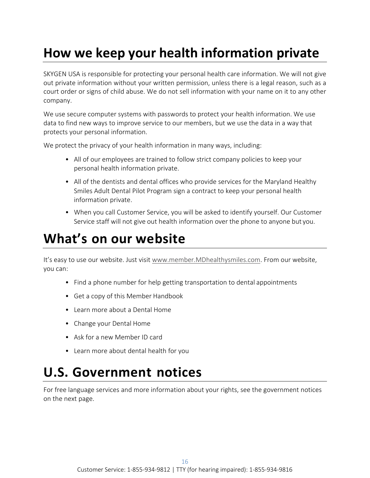## <span id="page-17-0"></span>**How we keep your health information private**

SKYGEN USA is responsible for protecting your personal health care information. We will not give out private information without your written permission, unless there is a legal reason, such as a court order or signs of child abuse. We do not sell information with your name on it to any other company.

We use secure computer systems with passwords to protect your health information. We use data to find new ways to improve service to our members, but we use the data in a way that protects your personal information.

We protect the privacy of your health information in many ways, including:

- All of our employees are trained to follow strict company policies to keep your personal health information private.
- All of the dentists and dental offices who provide services for the Maryland Healthy Smiles Adult Dental Pilot Program sign a contract to keep your personal health information private.
- When you call Customer Service, you will be asked to identify yourself. Our Customer Service staff will not give out health information over the phone to anyone but you.

## <span id="page-17-1"></span>**What's on our website**

It's easy to use our website. Just visit [www.member.MDhealthysmiles.com.](http://www.member.mdhealthysmiles.com/) From our website, you can:

- Find a phone number for help getting transportation to dental appointments
- Get a copy of this Member Handbook
- Learn more about a Dental Home
- Change your Dental Home
- Ask for a new Member ID card
- Learn more about dental health for you

## <span id="page-17-2"></span>**U.S. Government notices**

For free language services and more information about your rights, see the government notices on the next page.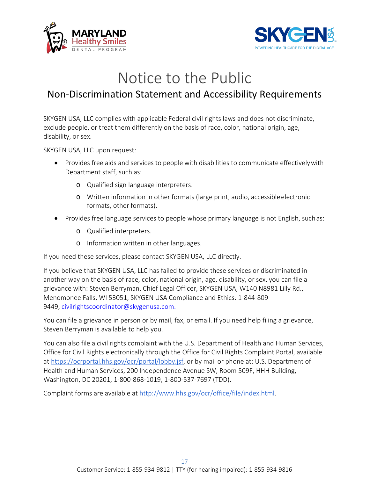



## Notice to the Public

### <span id="page-18-0"></span>Non-Discrimination Statement and Accessibility Requirements

SKYGEN USA, LLC complies with applicable Federal civil rights laws and does not discriminate, exclude people, or treat them differently on the basis of race, color, national origin, age, disability, or sex.

SKYGEN USA, LLC upon request:

- Provides free aids and services to people with disabilities to communicate effectivelywith Department staff, such as:
	- o Qualified sign language interpreters.
	- o Written information in other formats (large print, audio, accessibleelectronic formats, other formats).
- Provides free language services to people whose primary language is not English, suchas:
	- o Qualified interpreters.
	- o Information written in other languages.

If you need these services, please contact SKYGEN USA, LLC directly.

If you believe that SKYGEN USA, LLC has failed to provide these services or discriminated in another way on the basis of race, color, national origin, age, disability, or sex, you can file a grievance with: Steven Berryman, Chief Legal Officer, SKYGEN USA, W140 N8981 Lilly Rd., Menomonee Falls, WI 53051, SKYGEN USA Compliance and Ethics: 1-844-809- 9449, [civilrightscoordinator@skygenusa.com.](mailto:civilrightscoordinator@skygenusa.com.)

You can file a grievance in person or by mail, fax, or email. If you need help filing a grievance, Steven Berryman is available to help you.

You can also file a civil rights complaint with the U.S. Department of Health and Human Services, Office for Civil Rights electronically through the Office for Civil Rights Complaint Portal, available at [https://ocrportal.hhs.gov/ocr/portal/lobby.jsf, o](https://ocrportal.hhs.gov/ocr/portal/lobby.jsf)r by mail or phone at: U.S. Department of Health and Human Services, 200 Independence Avenue SW, Room 509F, HHH Building, Washington, DC 20201, 1-800-868-1019, 1-800-537-7697 (TDD).

Complaint forms are available at [http://www.hhs.gov/ocr/office/file/index.html.](http://www.hhs.gov/ocr/office/file/index.html)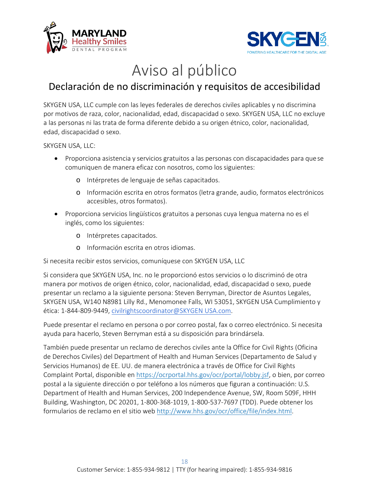



## Aviso al público

## <span id="page-19-0"></span>Declaración de no discriminación y requisitos de accesibilidad

SKYGEN USA, LLC cumple con las leyes federales de derechos civiles aplicables y no discrimina por motivos de raza, color, nacionalidad, edad, discapacidad o sexo. SKYGEN USA, LLC no excluye a las personas ni las trata de forma diferente debido a su origen étnico, color, nacionalidad, edad, discapacidad o sexo.

SKYGEN USA, LLC:

- Proporciona asistencia y servicios gratuitos a las personas con discapacidades para quese comuniquen de manera eficaz con nosotros, como los siguientes:
	- o Intérpretes de lenguaje de señas capacitados.
	- o Información escrita en otros formatos (letra grande, audio, formatos electrónicos accesibles, otros formatos).
- Proporciona servicios lingüísticos gratuitos a personas cuya lengua materna no es el inglés, como los siguientes:
	- o Intérpretes capacitados.
	- o Información escrita en otros idiomas.

Si necesita recibir estos servicios, comuníquese con SKYGEN USA, LLC

Si considera que SKYGEN USA, Inc. no le proporcionó estos servicios o lo discriminó de otra manera por motivos de origen étnico, color, nacionalidad, edad, discapacidad o sexo, puede presentar un reclamo a la siguiente persona: Steven Berryman, Director de Asuntos Legales, SKYGEN USA, W140 N8981 Lilly Rd., Menomonee Falls, WI 53051, SKYGEN USA Cumplimiento y ética: 1-844-809-9449, [civilrightscoordinator@SKYGEN USA.com.](mailto:civilrightscoordinator@sciondental.com)

Puede presentar el reclamo en persona o por correo postal, fax o correo electrónico. Si necesita ayuda para hacerlo, Steven Berryman está a su disposición para brindársela.

También puede presentar un reclamo de derechos civiles ante la Office for Civil Rights (Oficina de Derechos Civiles) del Department of Health and Human Services (Departamento de Salud y Servicios Humanos) de EE. UU. de manera electrónica a través de Office for Civil Rights Complaint Portal, disponible en [https://ocrportal.hhs.gov/ocr/portal/lobby.jsf,](https://ocrportal.hhs.gov/ocr/portal/lobby.jsf) o bien, por correo postal a la siguiente dirección o por teléfono a los números que figuran a continuación: U.S. Department of Health and Human Services, 200 Independence Avenue, SW, Room 509F, HHH Building, Washington, DC 20201, 1-800-368-1019, 1-800-537-7697 (TDD). Puede obtener los formularios de reclamo en el sitio web [http://www.hhs.gov/ocr/office/file/index.html.](http://www.hhs.gov/ocr/office/file/index.html)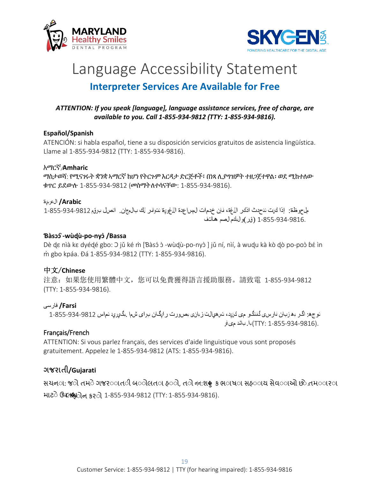<span id="page-20-0"></span>



## Language Accessibility Statement **Interpreter Services Are Available for Free**

#### <span id="page-20-1"></span>*ATTENTION: If you speak [language], language assistance services, free of charge, are available to you. Call 1-855-934-9812 (TTY: 1-855-934-9816).*

#### **Español/Spanish**

ATENCIÓN: si habla español, tiene a su disposición servicios gratuitos de asistencia lingüística. Llame al 1-855-934-9812 (TTY: 1-855-934-9816).

#### አማርኛ/**Amharic**

ማስታወሻ: የሚናገሩት ቋንቋ ኣማርኛ ከሆነ የትርጉም እርዳታ ድርጅቶች፣ በነጻ ሊያግዝዎት ተዘጋጀተዋል፡ ወደ ሚከተለው ቁጥር ይደውሉ 1-855-934-9812 (መስማትለተሳናቸው: 1-855-934-9816).

#### **Arabic/** العربية

ملحوظة: إذا كنت تتحدث اذكر اللغة، فإن خدمات المساعدة اللغوية تتوافر لك بالمجان. اتصل برقم 1-855-934-9812 1-855-934-9816. ( قر)والبكم الصم ھاتف

#### **Ɓàsɔɔ́̀-wùɖù-po-nyɔ̀/Bassa**

Dè dɛ nìà kɛ dyédé gbo: C jǔ ké m̀ [Bàsɔ́ d̀ -wùdù-po-nyd̀ ] jǔ ní, nìí, à wudu kà kò dò po-pod bé ìn m̀ gbo kpáa. Ɖá 1-855-934-9812 (TTY: 1-855-934-9816).

#### 中文/**Chinese**

注意:如果您使用繁體中文,您可以免費獲得語言援助服務。請致電 1-855-934-9812 (TTY: 1-855-934-9816).

#### **Farsi/** فارسی

توجھ: اگر بھ زبان فارسی گفتگو می کنيد، تسھيالت زبانی بصورت رايگان برای شما .بگيريد تماس 1-855-934-9812 .(1-855-934-9816 :TTY (با. باشد می فر

#### Français/French

ATTENTION: Si vous parlez français, des services d'aide linguistique vous sont proposés gratuitement. Appelez le 1-855-934-9812 (ATS: 1-855-934-9816).

#### **ગજરાતી/Gujarati**

સચના: જાગે તમાે ગજરાાતી બાોલતા હાો, તાો નન:શ♦ ક ભાષાા સહાાય સેવાાઓ છો.તમાારારા માટ◌ેઉપલ�ધફ◌ોન કર◌ો 1-855-934-9812 (TTY: 1-855-934-9816).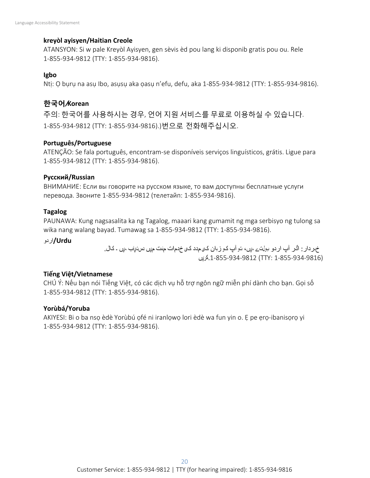#### **kreyòl ayisyen/Haitian Creole**

ATANSYON: Si w pale Kreyòl Ayisyen, gen sèvis èd pou lang ki disponib gratis pou ou. Rele 1-855-934-9812 (TTY: 1-855-934-9816).

#### **Igbo**

Ntị: Ọ bụrụ na asụ Ibo, asụsụ aka ọasụ n'efu, defu, aka 1-855-934-9812 (TTY: 1-855-934-9816).

#### **한국어**/**Korean**

주의: 한국어를 사용하시는 경우, 언어 지원 서비스를 무료로 이용하실 수 있습니다. 1-855-934-9812 (TTY: 1-855-934-9816).)번으로 전화해주십시오.

#### **Português/Portuguese**

ATENÇÃO: Se fala português, encontram-se disponíveis serviços linguísticos, grátis. Ligue para 1-855-934-9812 (TTY: 1-855-934-9816).

#### **Русский/Russian**

ВНИМАНИЕ: Если вы говорите на русском языке, то вам доступны бесплатные услуги перевода. Звоните 1-855-934-9812 (телетайп: 1-855-934-9816).

#### **Tagalog**

PAUNAWA: Kung nagsasalita ka ng Tagalog, maaari kang gumamit ng mga serbisyo ng tulong sa wika nang walang bayad. Tumawag sa 1-855-934-9812 (TTY: 1-855-934-9816).

**Urdu/**اردو

خبردار : اگر آپ اردو بولتے ہيں، تو آپ کو زبان کی مدد کی خدمات مفت ميں دستياب ہيں ۔ کال. (1-855-934-9816 :TTY (.1-855-934-9812کريں

#### **Tiếng Việt/Vietnamese**

CHÚ Ý: Nếu bạn nói Tiếng Việt, có các dịch vụ hỗ trợ ngôn ngữ miễn phí dành cho bạn. Gọi số 1-855-934-9812 (TTY: 1-855-934-9816).

#### **Yorùbá/Yoruba**

AKIYESI: Bi o ba nsọ èdè Yorùbú ọfé ni iranlọwọ lori èdè wa fun yin o. Ẹ pe ẹrọ-ibanisọrọ yi 1-855-934-9812 (TTY: 1-855-934-9816).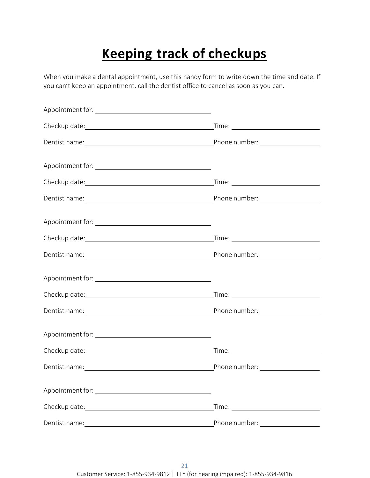## **Keeping track of checkups**

<span id="page-22-0"></span>When you make a dental appointment, use this handy form to write down the time and date. If you can't keep an appointment, call the dentist office to cancel as soon as you can.

| Checkup date: checkup date: |                                   |
|-----------------------------|-----------------------------------|
|                             | Phone number: ___________________ |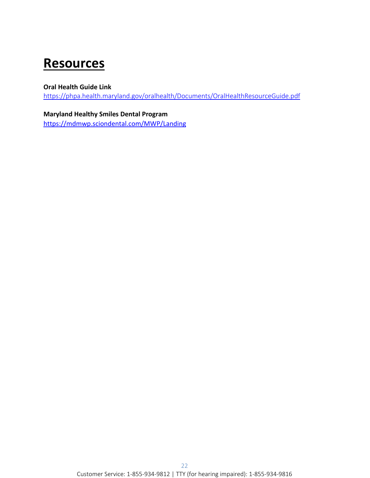## <span id="page-23-0"></span>**Resources**

#### **Oral Health Guide Link**

<https://phpa.health.maryland.gov/oralhealth/Documents/OralHealthResourceGuide.pdf>

#### **Maryland Healthy Smiles Dental Program**

<https://mdmwp.sciondental.com/MWP/Landing>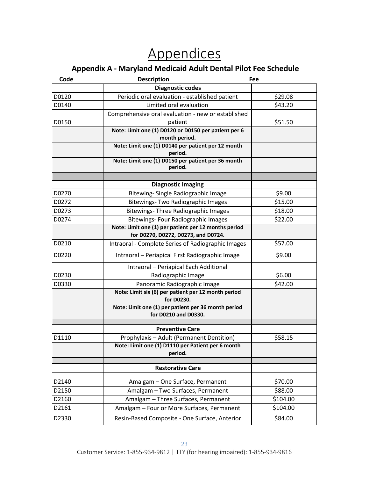## **Appendices**

### **Appendix A - Maryland Medicaid Adult Dental Pilot Fee Schedule**

<span id="page-24-1"></span><span id="page-24-0"></span>

| Code  | <b>Description</b><br>Fee                                                                          |          |  |
|-------|----------------------------------------------------------------------------------------------------|----------|--|
|       | <b>Diagnostic codes</b>                                                                            |          |  |
| D0120 | Periodic oral evaluation - established patient                                                     | \$29.08  |  |
| D0140 | Limited oral evaluation                                                                            | \$43.20  |  |
|       | Comprehensive oral evaluation - new or established                                                 |          |  |
| D0150 | patient                                                                                            | \$51.50  |  |
|       | Note: Limit one (1) D0120 or D0150 per patient per 6                                               |          |  |
|       | month period.                                                                                      |          |  |
|       | Note: Limit one (1) D0140 per patient per 12 month<br>period.                                      |          |  |
|       | Note: Limit one (1) D0150 per patient per 36 month                                                 |          |  |
|       | period.                                                                                            |          |  |
|       |                                                                                                    |          |  |
|       | <b>Diagnostic Imaging</b>                                                                          |          |  |
| D0270 | Bitewing- Single Radiographic Image                                                                | \$9.00   |  |
| D0272 | <b>Bitewings- Two Radiographic Images</b>                                                          | \$15.00  |  |
| D0273 | <b>Bitewings- Three Radiographic Images</b>                                                        | \$18.00  |  |
| D0274 | <b>Bitewings- Four Radiographic Images</b><br>Note: Limit one (1) per patient per 12 months period | \$22.00  |  |
|       | for D0270, D0272, D0273, and D0724.                                                                |          |  |
| D0210 | Intraoral - Complete Series of Radiographic Images                                                 | \$57.00  |  |
| D0220 | Intraoral - Periapical First Radiographic Image                                                    | \$9.00   |  |
|       | Intraoral - Periapical Each Additional                                                             |          |  |
| D0230 | Radiographic Image                                                                                 | \$6.00   |  |
| D0330 | Panoramic Radiographic Image                                                                       | \$42.00  |  |
|       | Note: Limit six (6) per patient per 12 month period<br>for D0230.                                  |          |  |
|       | Note: Limit one (1) per patient per 36 month period<br>for D0210 and D0330.                        |          |  |
|       | <b>Preventive Care</b>                                                                             |          |  |
| D1110 | Prophylaxis - Adult (Permanent Dentition)                                                          | \$58.15  |  |
|       | Note: Limit one (1) D1110 per Patient per 6 month<br>period.                                       |          |  |
|       |                                                                                                    |          |  |
|       | <b>Restorative Care</b>                                                                            |          |  |
| D2140 | Amalgam - One Surface, Permanent                                                                   | \$70.00  |  |
| D2150 | Amalgam - Two Surfaces, Permanent                                                                  | \$88.00  |  |
| D2160 | Amalgam - Three Surfaces, Permanent                                                                | \$104.00 |  |
| D2161 | Amalgam - Four or More Surfaces, Permanent                                                         | \$104.00 |  |
| D2330 | Resin-Based Composite - One Surface, Anterior                                                      | \$84.00  |  |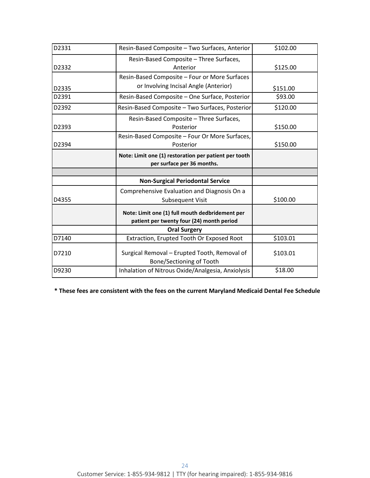| D2331 | Resin-Based Composite - Two Surfaces, Anterior                                               | \$102.00 |
|-------|----------------------------------------------------------------------------------------------|----------|
| D2332 | Resin-Based Composite - Three Surfaces,<br>Anterior                                          | \$125.00 |
|       | Resin-Based Composite - Four or More Surfaces                                                |          |
| D2335 | or Involving Incisal Angle (Anterior)                                                        | \$151.00 |
| D2391 | Resin-Based Composite - One Surface, Posterior                                               | \$93.00  |
| D2392 | Resin-Based Composite - Two Surfaces, Posterior                                              | \$120.00 |
| D2393 | Resin-Based Composite - Three Surfaces,<br>Posterior                                         | \$150.00 |
| D2394 | Resin-Based Composite - Four Or More Surfaces,<br>Posterior                                  | \$150.00 |
|       | Note: Limit one (1) restoration per patient per tooth<br>per surface per 36 months.          |          |
|       |                                                                                              |          |
|       | <b>Non-Surgical Periodontal Service</b>                                                      |          |
| D4355 | Comprehensive Evaluation and Diagnosis On a<br><b>Subsequent Visit</b>                       | \$100.00 |
|       | Note: Limit one (1) full mouth dedbridement per<br>patient per twenty four (24) month period |          |
|       | <b>Oral Surgery</b>                                                                          |          |
| D7140 | Extraction, Erupted Tooth Or Exposed Root                                                    | \$103.01 |
| D7210 | Surgical Removal - Erupted Tooth, Removal of<br>Bone/Sectioning of Tooth                     | \$103.01 |
| D9230 | Inhalation of Nitrous Oxide/Analgesia, Anxiolysis                                            | \$18.00  |

**\* These fees are consistent with the fees on the current Maryland Medicaid Dental Fee Schedule**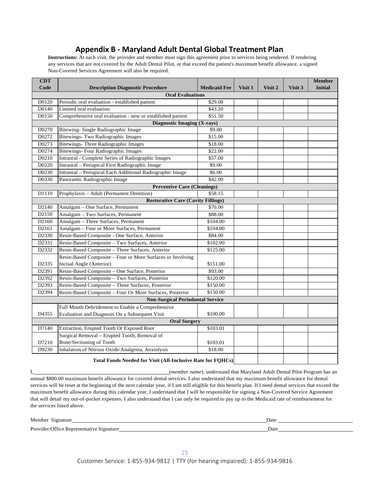#### **Appendix B - Maryland Adult Dental Global Treatment Plan**

<span id="page-26-0"></span>**Instructions:** At each visit, the provider and member must sign this agreement prior to services being rendered. If rendering any services that are not covered by the Adult Dental Pilot, or that exceed the patient's maximum benefit allowance, a signed Non-Covered Services Agreement will also be required.

| <b>CDT</b>                              |                                                                    |                     |         |         |         | <b>Member</b>  |  |
|-----------------------------------------|--------------------------------------------------------------------|---------------------|---------|---------|---------|----------------|--|
| Code                                    | <b>Description Diagnostic Procedure</b>                            | <b>Medicaid Fee</b> | Visit 1 | Visit 2 | Visit 3 | <b>Initial</b> |  |
|                                         | <b>Oral Evaluations</b>                                            |                     |         |         |         |                |  |
| D0120                                   | Periodic oral evaluation - established patient                     | \$29.08             |         |         |         |                |  |
| D0140                                   | Limited oral evaluation                                            | \$43.20             |         |         |         |                |  |
| D0150                                   | Comprehensive oral evaluation - new or established patient         | \$51.50             |         |         |         |                |  |
|                                         | Diagnostic Imaging (X-rays)                                        |                     |         |         |         |                |  |
| D0270                                   | Bitewing- Single Radiographic Image                                | \$9.00              |         |         |         |                |  |
| D0272                                   | Bitewings- Two Radiographic Images                                 | \$15.00             |         |         |         |                |  |
| D0273                                   | Bitewings- Three Radiographic Images                               | \$18.00             |         |         |         |                |  |
| D0274                                   | <b>Bitewings- Four Radiographic Images</b>                         | \$22.00             |         |         |         |                |  |
| D0210                                   | Intraoral - Complete Series of Radiographic Images                 | \$57.00             |         |         |         |                |  |
| D0220                                   | Intraoral - Periapical First Radiographic Image                    | \$9.00              |         |         |         |                |  |
| D0230                                   | Intraoral - Periapical Each Additional Radiographic Image          | \$6.00              |         |         |         |                |  |
| D0330                                   | Panoramic Radiographic Image                                       | \$42.00             |         |         |         |                |  |
|                                         | <b>Preventive Care (Cleanings)</b>                                 |                     |         |         |         |                |  |
| D1110                                   | Prophylaxis - Adult (Permanent Dentition)                          | \$58.15             |         |         |         |                |  |
|                                         | <b>Restorative Care (Cavity Fillings)</b>                          |                     |         |         |         |                |  |
| D <sub>2140</sub>                       | Amalgam - One Surface, Permanent                                   | \$70.00             |         |         |         |                |  |
| D2150                                   | Amalgam - Two Surfaces, Permanent                                  | \$88.00             |         |         |         |                |  |
| D2160                                   | Amalgam - Three Surfaces, Permanent<br>\$104.00                    |                     |         |         |         |                |  |
| D2161                                   | Amalgam - Four or More Surfaces, Permanent<br>\$104.00             |                     |         |         |         |                |  |
| D2330                                   | Resin-Based Composite - One Surface, Anterior<br>\$84.00           |                     |         |         |         |                |  |
| D2331                                   | Resin-Based Composite - Two Surfaces, Anterior                     | \$102.00            |         |         |         |                |  |
| D2332                                   | Resin-Based Composite - Three Surfaces, Anterior<br>\$125.00       |                     |         |         |         |                |  |
|                                         | Resin-Based Composite – Four or More Surfaces or Involving         |                     |         |         |         |                |  |
| D2335                                   | Incisal Angle (Anterior)                                           | \$151.00            |         |         |         |                |  |
| D2391                                   | Resin-Based Composite - One Surface, Posterior                     | \$93.00             |         |         |         |                |  |
| D2392                                   | Resin-Based Composite - Two Surfaces, Posterior                    | \$120.00            |         |         |         |                |  |
| D2393                                   | Resin-Based Composite - Three Surfaces, Posterior                  | \$150.00            |         |         |         |                |  |
| D2394                                   | Resin-Based Composite - Four Or More Surfaces, Posterior           | \$150.00            |         |         |         |                |  |
| <b>Non-Surgical Periodontal Service</b> |                                                                    |                     |         |         |         |                |  |
|                                         | Full Mouth Debridement to Enable a Comprehensive                   |                     |         |         |         |                |  |
| D4355                                   | Evaluation and Diagnosis On a Subsequent Visit                     | \$100.00            |         |         |         |                |  |
|                                         | <b>Oral Surgery</b>                                                |                     |         |         |         |                |  |
| D7140                                   | Extraction, Erupted Tooth Or Exposed Root                          | \$103.01            |         |         |         |                |  |
|                                         | Surgical Removal - Erupted Tooth, Removal of                       |                     |         |         |         |                |  |
| D7210                                   | Bone/Sectioning of Tooth                                           | \$103.01            |         |         |         |                |  |
| D9230                                   | Inhalation of Nitrous Oxide/Analgesia, Anxiolysis                  | \$18.00             |         |         |         |                |  |
|                                         |                                                                    |                     |         |         |         |                |  |
|                                         | <b>Total Funds Needed for Visit (All-Inclusive Rate for FQHCs)</b> |                     |         |         |         |                |  |

I, (*member name*), understand that Maryland Adult Dental Pilot Program has an

annual \$800.00 maximum benefit allowance for covered dental services. I also understand that my maximum benefit allowance for dental services will be reset at the beginning of the next calendar year, if I am still eligible for this benefit plan. If I need dental services that exceed the maximum benefit allowance during this calendar year, I understand that I will be responsible for signing a Non-Covered Service Agreement that will detail my out-of-pocket expenses. I also understand that I can only be required to pay up to the Medicaid rate of reimbursement for the services listed above.

Member Signature Date

Provider/Office Representative Signature Date Date Date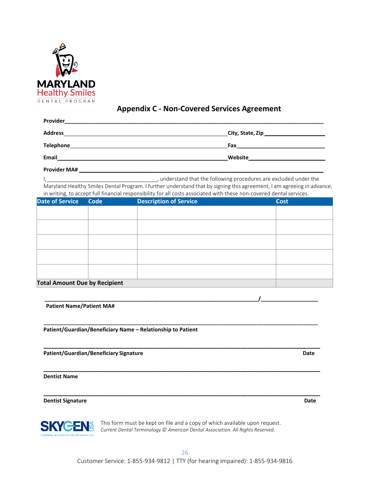

#### **Appendix C - Non-Covered Services Agreement**

<span id="page-27-0"></span>

| Provider       |                  |
|----------------|------------------|
| <b>Address</b> | City, State, Zip |
| Telephone      | Fax              |
| <b>Email</b>   | Website          |

**Provider MA# \_\_\_\_\_\_\_\_\_\_\_\_\_\_\_\_\_\_\_\_\_\_\_\_\_\_\_\_\_\_\_\_\_\_\_\_\_\_\_\_\_\_\_\_\_\_\_\_\_\_\_\_\_\_\_\_\_\_\_\_\_\_\_\_\_\_\_\_\_\_\_\_\_\_\_\_\_\_\_\_\_\_**

I, , understand that the following procedures are excluded under the Maryland Healthy Smiles Dental Program. I further understand that by signing this agreement, I am agreeing in advance, in writing, to accept full financial responsibility for all costs associated with these non-covered dentalservices.

| Date of Service Code                 | <b>Description of Service</b> | <b>Cost</b> |
|--------------------------------------|-------------------------------|-------------|
|                                      |                               |             |
|                                      |                               |             |
|                                      |                               |             |
|                                      |                               |             |
|                                      |                               |             |
|                                      |                               |             |
|                                      |                               |             |
| <b>Total Amount Due by Recipient</b> |                               |             |

**\_\_\_\_\_\_\_\_\_\_\_\_\_\_\_\_\_\_\_\_\_\_\_\_\_\_\_\_\_\_\_\_\_\_\_\_\_\_\_\_\_\_\_\_\_\_\_\_\_\_\_\_\_\_\_\_\_\_\_\_\_\_\_\_\_\_\_\_\_\_\_/\_\_\_\_\_\_\_\_\_\_\_\_\_\_\_\_\_\_\_**

\_\_\_\_\_\_\_\_\_\_\_\_\_\_\_\_\_\_\_\_\_\_\_\_\_\_\_\_\_\_\_\_\_\_\_\_\_\_\_\_\_\_\_\_\_\_\_\_\_\_\_\_\_\_\_\_\_\_\_\_\_\_\_\_\_\_\_\_\_\_\_\_\_\_\_\_

**\_\_\_\_\_\_\_\_\_\_\_\_\_\_\_\_\_\_\_\_\_\_\_\_\_\_\_\_\_\_\_\_\_\_\_\_\_\_\_\_\_\_\_\_\_\_\_\_\_\_\_\_\_\_\_\_\_\_\_\_\_\_\_\_\_\_\_\_\_\_\_\_\_\_\_\_\_\_\_\_**

**\_\_\_\_\_\_\_\_\_\_\_\_\_\_\_\_\_\_\_\_\_\_\_\_\_\_\_\_\_\_\_\_\_\_\_\_\_\_\_\_\_\_\_\_\_\_\_\_\_\_\_\_\_\_\_\_\_\_\_\_\_\_\_\_\_\_\_\_\_\_\_\_\_\_\_\_\_\_\_\_**

**\_\_\_\_\_\_\_\_\_\_\_\_\_\_\_\_\_\_\_\_\_\_\_\_\_\_\_\_\_\_\_\_\_\_\_\_\_\_\_\_\_\_\_\_\_\_\_\_\_\_\_\_\_\_\_\_\_\_\_\_\_\_\_\_\_\_\_\_\_\_\_\_\_\_\_\_\_\_\_\_**

**Patient Name/Patient MA#**

**Patient/Guardian/Beneficiary Name – Relationship to Patient**

**Patient/Guardian/Beneficiary Signature Date**

**Dentist Name**

**Dentist Signature Date**



This form must be kept on file and a copy of which available upon request. *Current Dental Terminology © American Dental Association. All Rights Reserved.*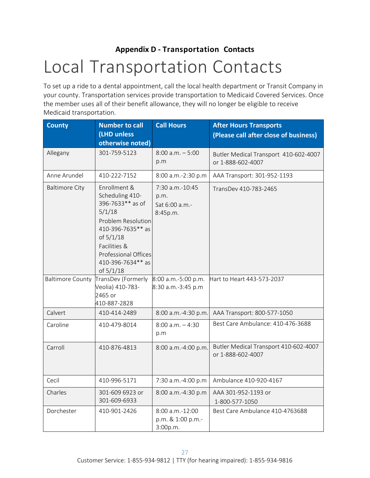## <span id="page-28-1"></span><span id="page-28-0"></span>**Appendix D - Transportation Contacts** Local Transportation Contacts

To set up a ride to a dental appointment, call the local health department or Transit Company in your county. Transportation services provide transportation to Medicaid Covered Services. Once the member uses all of their benefit allowance, they will no longer be eligible to receive Medicaid transportation.

| <b>County</b>           | <b>Number to call</b><br>(LHD unless<br>otherwise noted)                                                                                                                                        | <b>Call Hours</b>                                     | <b>After Hours Transports</b><br>(Please call after close of business) |
|-------------------------|-------------------------------------------------------------------------------------------------------------------------------------------------------------------------------------------------|-------------------------------------------------------|------------------------------------------------------------------------|
| Allegany                | 301-759-5123                                                                                                                                                                                    | $8:00$ a.m. $-5:00$<br>p.m                            | Butler Medical Transport 410-602-4007<br>or 1-888-602-4007             |
| Anne Arundel            | 410-222-7152                                                                                                                                                                                    | 8:00 a.m.-2:30 p.m                                    | AAA Transport: 301-952-1193                                            |
| <b>Baltimore City</b>   | Enrollment &<br>Scheduling 410-<br>396-7633** as of<br>5/1/18<br>Problem Resolution<br>410-396-7635** as<br>of 5/1/18<br>Facilities &<br>Professional Offices<br>410-396-7634** as<br>of 5/1/18 | 7:30 a.m.-10:45<br>p.m.<br>Sat 6:00 a.m.-<br>8:45p.m. | TransDev 410-783-2465                                                  |
| <b>Baltimore County</b> | TransDev (Formerly<br>Veolia) 410-783-<br>2465 or<br>410-887-2828                                                                                                                               | 8:00 a.m.-5:00 p.m.<br>8:30 a.m.-3:45 p.m             | Hart to Heart 443-573-2037                                             |
| Calvert                 | 410-414-2489                                                                                                                                                                                    | 8:00 a.m.-4:30 p.m.                                   | AAA Transport: 800-577-1050                                            |
| Caroline                | 410-479-8014                                                                                                                                                                                    | $8:00$ a.m. $-4:30$<br>p.m                            | Best Care Ambulance: 410-476-3688                                      |
| Carroll                 | 410-876-4813                                                                                                                                                                                    | 8:00 a.m.-4:00 p.m.                                   | Butler Medical Transport 410-602-4007<br>or 1-888-602-4007             |
| Cecil                   | 410-996-5171                                                                                                                                                                                    | 7:30 a.m.-4:00 p.m                                    | Ambulance 410-920-4167                                                 |
| Charles                 | 301-609 6923 or<br>301-609-6933                                                                                                                                                                 | 8:00 a.m.-4:30 p.m                                    | AAA 301-952-1193 or<br>1-800-577-1050                                  |
| Dorchester              | 410-901-2426                                                                                                                                                                                    | 8:00 a.m.-12:00<br>p.m. & 1:00 p.m.-<br>3:00p.m.      | Best Care Ambulance 410-4763688                                        |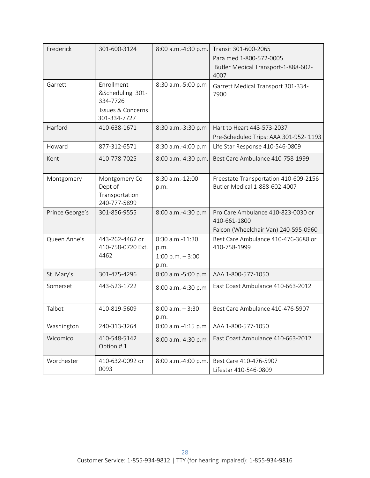| Frederick       | 301-600-3124                                                                               | 8:00 a.m.-4:30 p.m.                                  | Transit 301-600-2065<br>Para med 1-800-572-0005<br>Butler Medical Transport-1-888-602-<br>4007 |
|-----------------|--------------------------------------------------------------------------------------------|------------------------------------------------------|------------------------------------------------------------------------------------------------|
| Garrett         | Enrollment<br>&Scheduling 301-<br>334-7726<br><b>Issues &amp; Concerns</b><br>301-334-7727 | 8:30 a.m.-5:00 p.m                                   | Garrett Medical Transport 301-334-<br>7900                                                     |
| Harford         | 410-638-1671                                                                               | 8:30 a.m.-3:30 p.m                                   | Hart to Heart 443-573-2037<br>Pre-Scheduled Trips: AAA 301-952-1193                            |
| Howard          | 877-312-6571                                                                               | 8:30 a.m.-4:00 p.m                                   | Life Star Response 410-546-0809                                                                |
| Kent            | 410-778-7025                                                                               | 8:00 a.m.-4:30 p.m.                                  | Best Care Ambulance 410-758-1999                                                               |
| Montgomery      | Montgomery Co<br>Dept of<br>Transportation<br>240-777-5899                                 | 8:30 a.m.-12:00<br>p.m.                              | Freestate Transportation 410-609-2156<br>Butler Medical 1-888-602-4007                         |
| Prince George's | 301-856-9555                                                                               | 8:00 a.m.-4:30 p.m                                   | Pro Care Ambulance 410-823-0030 or<br>410-661-1800<br>Falcon (Wheelchair Van) 240-595-0960     |
| Queen Anne's    | 443-262-4462 or<br>410-758-0720 Ext.<br>4462                                               | 8:30 a.m.-11:30<br>p.m.<br>1:00 p.m. $-3:00$<br>p.m. | Best Care Ambulance 410-476-3688 or<br>410-758-1999                                            |
| St. Mary's      | 301-475-4296                                                                               | 8:00 a.m.-5:00 p.m                                   | AAA 1-800-577-1050                                                                             |
| Somerset        | 443-523-1722                                                                               | 8:00 a.m.-4:30 p.m                                   | East Coast Ambulance 410-663-2012                                                              |
| Talbot          | 410-819-5609                                                                               | $8:00$ a.m. $-3:30$<br>p.m.                          | Best Care Ambulance 410-476-5907                                                               |
| Washington      | 240-313-3264                                                                               | 8:00 a.m.-4:15 p.m                                   | AAA 1-800-577-1050                                                                             |
| Wicomico        | 410-548-5142<br>Option #1                                                                  | 8:00 a.m.-4:30 p.m                                   | East Coast Ambulance 410-663-2012                                                              |
| Worchester      | 410-632-0092 or<br>0093                                                                    | 8:00 a.m.-4:00 p.m.                                  | Best Care 410-476-5907<br>Lifestar 410-546-0809                                                |